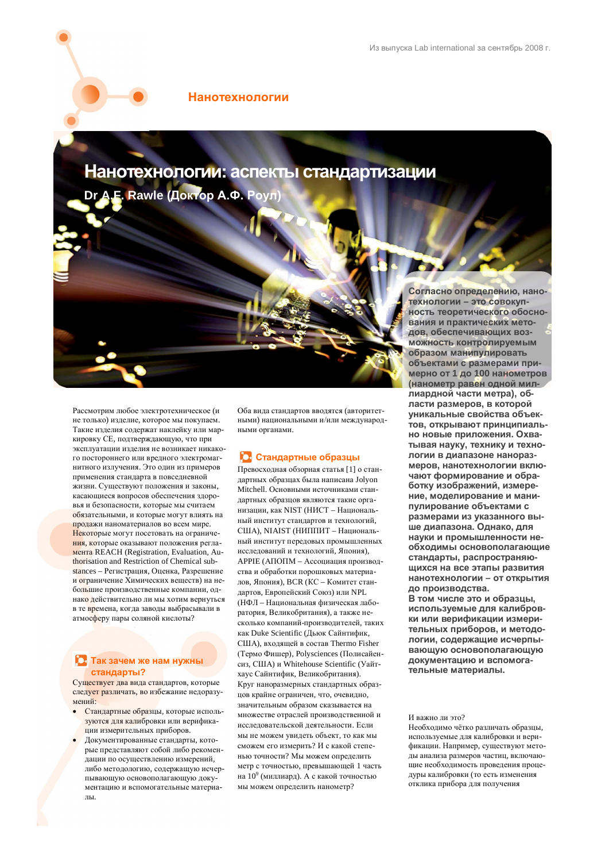### **Нанотехнологии**

Нанотехнологии: аспекты стандартизации

**Dr A.F. Rawle (Доктор А.Ф. Роул)** 

Рассмотрим любое электротехническое (и не только) изделие, которое мы покупаем. Такие изделия содержат наклейку или маркировку СЕ, подтверждающую, что при эксплуатации изделия не возникает никакого постороннего или вредного электромагнитного излучения. Это один из примеров применения стандарта в повседневной жизни. Существуют положения и законы. касающиеся вопросов обеспечения здоровья и безопасности, которые мы считаем обязательными, и которые могут влиять на пролажи наноматериалов во всем мире. Некоторые могут посетовать на ограничения, которые оказывают положения регла-Meutra REACH (Registration, Evaluation, Authorisation and Restriction of Chemical substances – Регистрация, Оценка, Разрешение и ограничение Химических веществ) на небольшие производственные компании, однако действительно ли мы хотим вернуться в те времена, когда заводы выбрасывали в атмосферу пары соляной кислоты?

### Taк зачем же нам нужны  $c$ тандарты?

Существует два вида стандартов, которые следует различать, во избежание недоразумений<sup>.</sup>

- Стандартные образцы, которые используются для калибровки или верификапии измерительных приборов.
- Документированные стандарты, которые представляют собой либо рекоменлании по осуществлению измерений либо методологию, содержащую исчерпывающую основополагающую документацию и вспомогательные материа- $\Pi$ ы.

Оба вида стандартов вводятся (авторитетными) национальными и/или международ-HUMH ODESHAMH

# **10 Стандартные образцы**

Превосходная обзорная статья [1] о стандартных образцах была написана Jolyon Mitchell. Основными источниками стандартных образцов являются такие организации, как NIST (НИСТ – Национальный институт стандартов и технологий, США), NIAIST (НИППИТ – Национальный институт передовых промышленных исследований и технологий, Япония),  $APPIE$  (АПОПМ – Ассониания произволства и обработки порошковых материалов, Япония), BCR (КС - Комитет стандартов, Европейский Союз) или NPL (НФЛ – Национальная физическая лаборатория, Великобритания), а также несколько компаний-производителей, таких как Duke Scientific (Дьюк Сайнтифик, США), входящей в состав Thermo Fisher (Термо Фишер), Polysciences (Полисайенсиз, США) и Whitehouse Scientific (Уайтхаус Сайнтифик, Великобритания). Круг наноразмерных станлартных образцов крайне ограничен, что, очевидно, значительным образом сказывается на множестве отраслей производственной и исслеловательской деятельности. Если мы не можем увидеть объект, то как мы сможем его измерить? И с какой степенью точности? Мы можем определить метр с точностью, превышающей 1 часть на 10<sup>9</sup> (миллиард). А с какой точностью мы можем определить нанометр?

Согласно определению, нано-Технологии - это совокуп-**НОСТЬ ТЕОРЕТИЧЕСКОГО ОбОСНО**вания и практических методов, обеспечивающих воз-**МОЖНОСТЬ КОНТРОЛИРУЕМЫМ образом манипулировать объектами с размерами примерно от 1 до 100 нанометров (нанометр равен одной мил**лиардной части метра), обпасти размеров, в которой уникальные свойства объектов, открывают принципиаль-НО НОВЫ<del>Р ПЛИЛОЖРНИЯ</del> ОХВАтывая науку, технику и технологии в диапазоне нанораз**меров, нанотехнологии вклю**чают формирование и обра- $6$ отку изображений, измере-**НИЕ, МОДЕЛИРОВАНИЕ И МАНИ**пулирование объектами с размерами из указанного выше диапазона. Однако, для **НАУКИ И ПРОМЫШЛЕННОСТИ НЕ-• обходимы основополагающие** стандарты, распространяю-**ЩИХСЯ НА ВСЕ ЭТАПЫ РАЗВИТИЯ** НАНОТЕХНОЛОГИИ - ОТ ОТКРЫТИЯ до производства.

В том числе это и образцы, используемые для калибров**ɤɢɢɥɢɜɟɪɢɮɢɤɚɰɢɢɢɡɦɟɪɢ**тельных приборов, и методологии, содержащие исчерпы**вающую основополагающую** документацию и вспомогательные материалы.

#### И важно ли это?

Необходимо чётко различать образцы, используемые лля калибровки и верификации. Например, существуют методы анализа размеров частиц, включающие необходимость провеления процедуры калибровки (то есть изменения отклика прибора для получения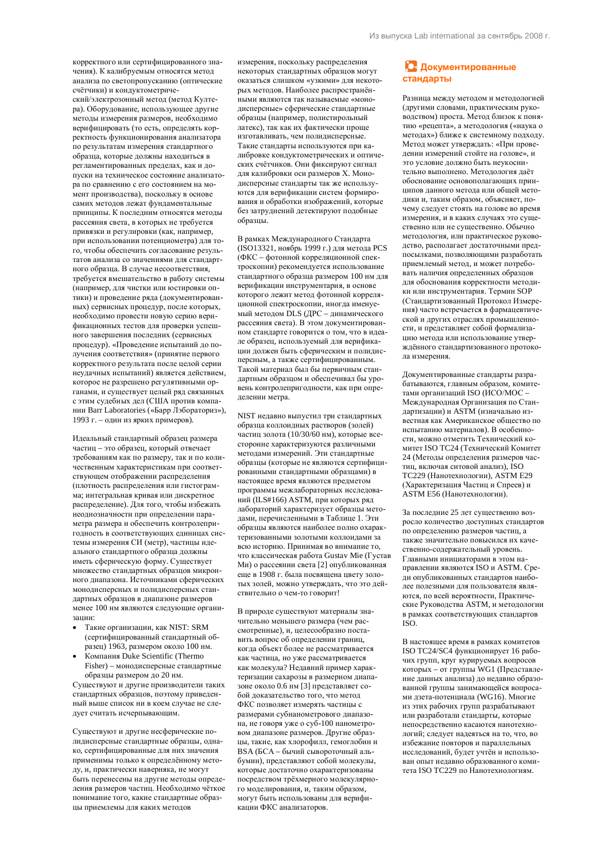корректного или сертифицированного значения). К калибруемым относятся метод анализа по светопропусканию (оптические счётчики) и конлуктометриче-

ский/электрозонный метод (метод Култера). Оборудование, использующее другие  $\overline{a}$  метолы измерения размеров, необходимо верифицировать (то есть, определять корректность функционирования анализатора по результатам измерения стандартного образна, которые лолжны нахолиться в регламентированных пределах, как и допуски на техническое состояние анализатора по сравнению с его состоянием на момент производства), поскольку в основе самих методов лежат фундаментальные принципы. К последним относятся методы nacceяния света, в которых не требуется привязки и регулировки (как, например, при использовании потенциометра) для того, чтобы обеспечить согласование результатов анализа со значениями для стандартного образца. В случае несоответствия, требуется вмешательство в работу системы (например, для чистки или юстировки оптики) и проведение ряда (документированных) сервисных процедур, после которых, необходимо провести новую серию верификационных тестов для проверки успешного завершения последних (сервисных процедур). «Проведение испытаний до потучения соответствия» (принятие первого корректного результата после целой серии неудачных испытаний) является действием, которое не разрешено регулятивными органами, и существует нелый рял связанных с этим судебных дел (США против компании Barr Laboratories («Барр Лэбораториз»), 1993 г. – один из ярких примеров).

Идеальный стандартный образец размера частиц – это образец, который отвечает требованиям как по размеру, так и по количественным характеристикам при соответствующем отображении распределения (плотность распределения или гистограмма; интегральная кривая или дискретное распределение). Для того, чтобы избежать неоднозначности при определении параметра размера и обеспечить контролепригодность в соответствующих единицах системы измерения СИ (метр), частицы идеального стандартного образца должны иметь сферическую форму. Существует множество стандартных образцов микронного диапазона. Источниками сферических монодисперсных и полидисперсных стандартных образцов в диапазоне размеров менее 100 нм являются следующие организании:

- Такие организации, как NIST: SRM (сертифицированный стандартный образец) 1963, размером около 100 нм.
- **Компания Duke Scientific (Thermo** Fisher) – монодисперсные стандартные образцы размером до 20 нм.

Существуют и другие производители таких стандартных образцов, поэтому приведенный выше список ни в коем случае не следует считать исчерпывающим.

Существуют и другие несферические полидисперсные стандартные образцы, однако, сертифицированные лля них значения применимы только к определённому методу, и, практически наверняка, не могут быть перенесены на другие методы определения размеров частиц. Необходимо чёткое понимание того, какие стандартные образцы приемлемы для каких методов

измерения, поскольку распределения некоторых стандартных образцов могут оказаться слишком «узкими» для некоторых методов. Наиболее распространёнными являются так называемые «монодисперсные» сферические стандартные образцы (например, полистирольный πατεκς), так как их фактически проше изготавливать, чем полилисперсные. Такие стандарты используются при капибровке кондуктометрических и оптических счётчиков. Они фиксируют сигнал для калибровки оси размеров Х. Монодисперсные стандарты так же используются для верификации систем формирования и обработки изображений, которые без затруднений детектируют подобные образцы.

В рамках Межлунаролного Станларта (ISO13321, ноябрь 1999 г.) для метода PCS (ФКС – фотонной корреляционной спектроскопии) рекомендуется использование стандартного образца размером 100 нм для верификации инструментария, в основе которого лежит метод фотонной корреляционной спектроскопии, иногда именуемый методом DLS (ДРС – динамического пассеяния света). В этом локументированном стандарте говорится о том, что в идеале образец, используемый для верификации должен быть сферическим и полидисперсным, а также сертифицированным. Такой материал был бы первичным стандартным образцом и обеспечивал бы уровень контролепригодности, как при опрелелении метра.

NIST недавно выпустил три стандартных образца коллоидных растворов (золей) частиц золота (10/30/60 нм), которые всесторонне характеризуются различными методами измерений. Эти стандартные образцы (которые не являются сертифицированными стандартными образцами) в настоящее время являются прелметом программы межлабораторных исследований (ILS#166) ASTM, при которых ряд лабораторий характеризует образцы методами, перечисленными в Таблице 1. Эти образцы являются наиболее полно охарактеризованными золотыми коллоидами за всю историю. Принимая во внимание то. что классическая работа Gustav Mie (Густав Ми) о рассеянии света [2] опубликованная еще в 1908 г. была посвящена цвету золотых золей, можно утверждать, что это действительно о чем-то говорит!

В природе существуют материалы значительно меньшего размера (чем рас $c$ мотренные), и, нелесообразно поставить вопрос об определении границ, когда объект более не рассматривается как частица, но уже рассматривается как молекула? Недавний пример характеризации сахарозы в размерном диапазоне около 0.6 нм [3] представляет собой доказательство того, что метод ФКС позволяет измерять частицы с размерами субнанометрового диапазона, не говоря уже о суб-100 нанометровом диапазоне размеров. Другие образцы, такие, как хлорофилл, гемоглобин и BSA (БСА – бычий сывороточный альбумин), представляют собой молекулы, которые достаточно охарактеризованы посредством трёхмерного молекулярного моделирования, и, таким образом, могут быть использованы для верификации ФКС анализаторов.

### **1. Документированные** стандарты

Разница между методом и методологией (другими словами, практическим руководством) проста. Метод близок к понятию «рецепта», а методология («наука о методах») ближе к системному подходу. Метод может утверждать: «При провелении измерений стойте на голове», и это условие должно быть неукоснительно выполнено. Методология даёт обоснование основополагающих приниипов ланного метола или общей методики и, таким образом, объясняет, почему следует стоять на голове во время измерения, и в каких случаях это существенно или не существенно. Обычно методология, или практическое руковоиство, располагает лостаточными прелпосылками, позволяющими разработать приемлемый метод, и может потребоать наличия определенных образцов для обоснования корректности методики или инструментария. Термин SOP (Стандартизованный Протокол Измерения) часто встречается в фармацевтической и других отраслях промышленности, и прелставляет собой формализанию метола или использование утверждённого стандартизованного протокопа измерения

Покументированные стандарты разрабатываются, главным образом, комитетами организаций ISO (ИСО/МОС -Международная Организация по Стандартизации) и ASTM (изначально известная как Американское общество по испытанию материалов). В особенности, можно отметить Технический комитет ISO TC24 (Технический Комитет 24 (Метолы определения размеров час- $THII$ , включая ситовой анализ), ISO ТС229 (Нанотехнологии), ASTM E29 (Характеризация Частиц и Спреев) и ASTM E56 (Нанотехнологии).

За последние 25 лет существенно возросло количество доступных стандартов по определению размеров частиц, а также значительно повысился их качественно-солержательный уровень  $\Gamma$ павными инициаторами в этом направлении являются ISO и ASTM. Среди опубликованных стандартов наиболее полезными для пользователя являются, по всей вероятности, Практиче $c$ кие Руковолства ASTM, и метолопогии в рамках соответствующих стандартов ISO.

B настоящее время в рамках комитетов ISO TC24/SC4 функционирует 16 рабочих групп, круг курируемых вопросов которых – от группы WG1 (Представление данных анализа) до недавно образованной группы занимающейся вопросами дзета-потенциала (WG16). Многие из этих рабочих групп разрабатывают или разработали стандарты, которые непосредственно касаются нанотехнологий: слелует налеяться на то, что, во избежание повторов и параллельных исследований, будет учтён и использован опыт недавно образованного комитета ISO TC229 по Нанотехнологиям.